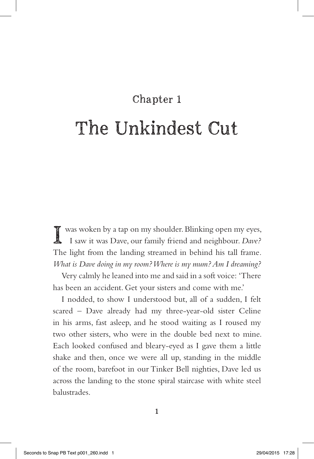## The Unkindest Cut Chapter 1

Was woken by a tap on my shoulder. Blinking open my eyes,<br>I saw it was Dave, our family friend and neighbour. Dave? I saw it was Dave, our family friend and neighbour. *Dave?* The light from the landing streamed in behind his tall frame*. What is Dave doing in my room? Where is my mum? Am I dreaming?*

Very calmly he leaned into me and said in a soft voice: 'There has been an accident. Get your sisters and come with me.'

I nodded, to show I understood but, all of a sudden, I felt scared – Dave already had my three-year-old sister Celine in his arms, fast asleep, and he stood waiting as I roused my two other sisters, who were in the double bed next to mine. Each looked confused and bleary-eyed as I gave them a little shake and then, once we were all up, standing in the middle of the room, barefoot in our Tinker Bell nighties, Dave led us across the landing to the stone spiral staircase with white steel balustrades.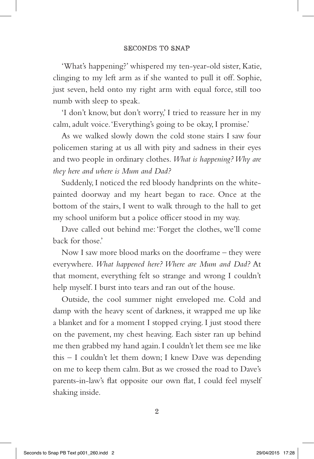'What's happening?' whispered my ten-year-old sister, Katie, clinging to my left arm as if she wanted to pull it off. Sophie, just seven, held onto my right arm with equal force, still too numb with sleep to speak.

'I don't know, but don't worry,' I tried to reassure her in my calm, adult voice. 'Everything's going to be okay, I promise.'

As we walked slowly down the cold stone stairs I saw four policemen staring at us all with pity and sadness in their eyes and two people in ordinary clothes. *What is happening? Why are they here and where is Mum and Dad?*

Suddenly, I noticed the red bloody handprints on the whitepainted doorway and my heart began to race. Once at the bottom of the stairs, I went to walk through to the hall to get my school uniform but a police officer stood in my way.

Dave called out behind me: 'Forget the clothes, we'll come back for those.'

Now I saw more blood marks on the doorframe – they were everywhere. *What happened here? Where are Mum and Dad?* At that moment, everything felt so strange and wrong I couldn't help myself. I burst into tears and ran out of the house.

Outside, the cool summer night enveloped me. Cold and damp with the heavy scent of darkness, it wrapped me up like a blanket and for a moment I stopped crying. I just stood there on the pavement, my chest heaving. Each sister ran up behind me then grabbed my hand again. I couldn't let them see me like this – I couldn't let them down; I knew Dave was depending on me to keep them calm. But as we crossed the road to Dave's parents-in-law's flat opposite our own flat, I could feel myself shaking inside.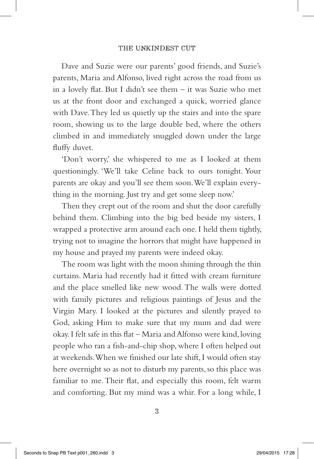Dave and Suzie were our parents' good friends, and Suzie's parents, Maria and Alfonso, lived right across the road from us in a lovely flat. But I didn't see them – it was Suzie who met us at the front door and exchanged a quick, worried glance with Dave. They led us quietly up the stairs and into the spare room, showing us to the large double bed, where the others climbed in and immediately snuggled down under the large fluffy duvet.

'Don't worry,' she whispered to me as I looked at them questioningly. 'We'll take Celine back to ours tonight. Your parents are okay and you'll see them soon. We'll explain everything in the morning. Just try and get some sleep now.'

Then they crept out of the room and shut the door carefully behind them. Climbing into the big bed beside my sisters, I wrapped a protective arm around each one. I held them tightly, trying not to imagine the horrors that might have happened in my house and prayed my parents were indeed okay.

The room was light with the moon shining through the thin curtains. Maria had recently had it fitted with cream furniture and the place smelled like new wood. The walls were dotted with family pictures and religious paintings of Jesus and the Virgin Mary. I looked at the pictures and silently prayed to God, asking Him to make sure that my mum and dad were okay. I felt safe in this flat – Maria and Alfonso were kind, loving people who ran a fish-and-chip shop, where I often helped out at weekends. When we finished our late shift, I would often stay here overnight so as not to disturb my parents, so this place was familiar to me. Their flat, and especially this room, felt warm and comforting. But my mind was a whir. For a long while, I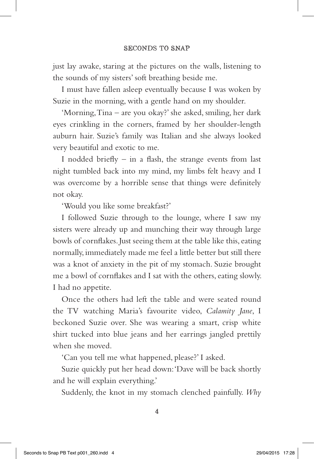just lay awake, staring at the pictures on the walls, listening to the sounds of my sisters' soft breathing beside me.

I must have fallen asleep eventually because I was woken by Suzie in the morning, with a gentle hand on my shoulder.

'Morning, Tina – are you okay?' she asked, smiling, her dark eyes crinkling in the corners, framed by her shoulder-length auburn hair. Suzie's family was Italian and she always looked very beautiful and exotic to me.

I nodded briefly – in a flash, the strange events from last night tumbled back into my mind, my limbs felt heavy and I was overcome by a horrible sense that things were definitely not okay.

'Would you like some breakfast?'

I followed Suzie through to the lounge, where I saw my sisters were already up and munching their way through large bowls of cornflakes. Just seeing them at the table like this, eating normally, immediately made me feel a little better but still there was a knot of anxiety in the pit of my stomach. Suzie brought me a bowl of cornflakes and I sat with the others, eating slowly. I had no appetite.

Once the others had left the table and were seated round the TV watching Maria's favourite video, *Calamity Jane*, I beckoned Suzie over. She was wearing a smart, crisp white shirt tucked into blue jeans and her earrings jangled prettily when she moved.

'Can you tell me what happened, please?' I asked.

Suzie quickly put her head down: 'Dave will be back shortly and he will explain everything.'

Suddenly, the knot in my stomach clenched painfully. *Why*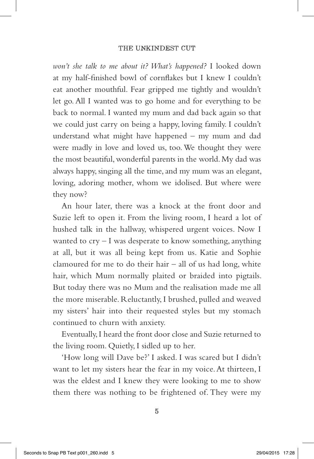## THE UNKINDEST CUT

*won't she talk to me about it? What's happened?* I looked down at my half-finished bowl of cornflakes but I knew I couldn't eat another mouthful. Fear gripped me tightly and wouldn't let go. All I wanted was to go home and for everything to be back to normal. I wanted my mum and dad back again so that we could just carry on being a happy, loving family. I couldn't understand what might have happened – my mum and dad were madly in love and loved us, too. We thought they were the most beautiful, wonderful parents in the world. My dad was always happy, singing all the time, and my mum was an elegant, loving, adoring mother, whom we idolised. But where were they now?

An hour later, there was a knock at the front door and Suzie left to open it. From the living room, I heard a lot of hushed talk in the hallway, whispered urgent voices. Now I wanted to cry – I was desperate to know something, anything at all, but it was all being kept from us. Katie and Sophie clamoured for me to do their hair – all of us had long, white hair, which Mum normally plaited or braided into pigtails. But today there was no Mum and the realisation made me all the more miserable. Reluctantly, I brushed, pulled and weaved my sisters' hair into their requested styles but my stomach continued to churn with anxiety.

Eventually, I heard the front door close and Suzie returned to the living room. Quietly, I sidled up to her.

'How long will Dave be?' I asked. I was scared but I didn't want to let my sisters hear the fear in my voice. At thirteen, I was the eldest and I knew they were looking to me to show them there was nothing to be frightened of. They were my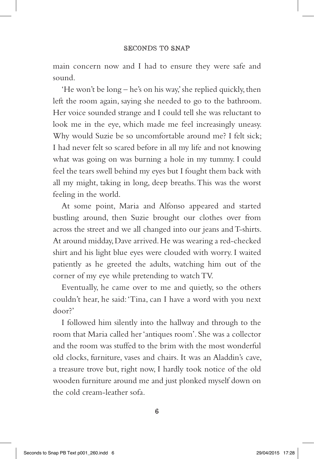main concern now and I had to ensure they were safe and sound.

'He won't be long – he's on his way,' she replied quickly, then left the room again, saying she needed to go to the bathroom. Her voice sounded strange and I could tell she was reluctant to look me in the eye, which made me feel increasingly uneasy. Why would Suzie be so uncomfortable around me? I felt sick; I had never felt so scared before in all my life and not knowing what was going on was burning a hole in my tummy. I could feel the tears swell behind my eyes but I fought them back with all my might, taking in long, deep breaths. This was the worst feeling in the world.

At some point, Maria and Alfonso appeared and started bustling around, then Suzie brought our clothes over from across the street and we all changed into our jeans and T-shirts. At around midday, Dave arrived. He was wearing a red-checked shirt and his light blue eyes were clouded with worry. I waited patiently as he greeted the adults, watching him out of the corner of my eye while pretending to watch TV.

Eventually, he came over to me and quietly, so the others couldn't hear, he said: 'Tina, can I have a word with you next door?'

I followed him silently into the hallway and through to the room that Maria called her 'antiques room'. She was a collector and the room was stuffed to the brim with the most wonderful old clocks, furniture, vases and chairs. It was an Aladdin's cave, a treasure trove but, right now, I hardly took notice of the old wooden furniture around me and just plonked myself down on the cold cream-leather sofa.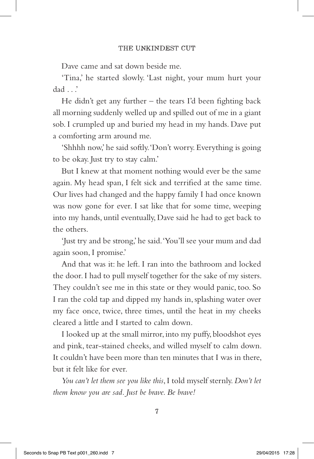Dave came and sat down beside me.

'Tina,' he started slowly. 'Last night, your mum hurt your dad . . .'

He didn't get any further – the tears I'd been fighting back all morning suddenly welled up and spilled out of me in a giant sob. I crumpled up and buried my head in my hands. Dave put a comforting arm around me.

'Shhhh now,' he said softly. 'Don't worry. Everything is going to be okay. Just try to stay calm.'

But I knew at that moment nothing would ever be the same again. My head span, I felt sick and terrified at the same time. Our lives had changed and the happy family I had once known was now gone for ever. I sat like that for some time, weeping into my hands, until eventually, Dave said he had to get back to the others.

'Just try and be strong,' he said. 'You'll see your mum and dad again soon, I promise.'

And that was it: he left. I ran into the bathroom and locked the door. I had to pull myself together for the sake of my sisters. They couldn't see me in this state or they would panic, too. So I ran the cold tap and dipped my hands in, splashing water over my face once, twice, three times, until the heat in my cheeks cleared a little and I started to calm down.

I looked up at the small mirror, into my puffy, bloodshot eyes and pink, tear-stained cheeks, and willed myself to calm down. It couldn't have been more than ten minutes that I was in there, but it felt like for ever.

*You can't let them see you like this*, I told myself sternly. *Don't let them know you are sad. Just be brave. Be brave!*